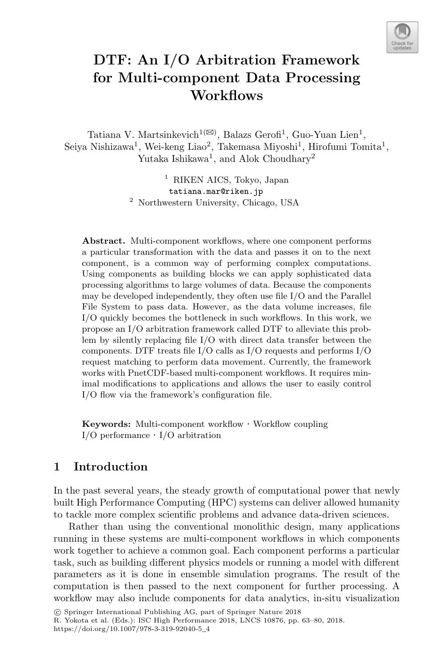

# **DTF: An I/O Arbitration Framework for Multi-component Data Processing Workflows**

Tatiana V. Martsinkevich<sup>1( $\boxtimes$ )</sup>, Balazs Gerofi<sup>1</sup>, Guo-Yuan Lien<sup>1</sup>, Seiya Nishizawa<sup>1</sup>, Wei-keng Liao<sup>2</sup>, Takemasa Miyoshi<sup>1</sup>, Hirofumi Tomita<sup>1</sup>, Yutaka Ishikawa<sup>1</sup>, and Alok Choudhary<sup>2</sup>

> <sup>1</sup> RIKEN AICS, Tokyo, Japan tatiana.mar@riken.jp <sup>2</sup> Northwestern University, Chicago, USA

**Abstract.** Multi-component workflows, where one component performs a particular transformation with the data and passes it on to the next component, is a common way of performing complex computations. Using components as building blocks we can apply sophisticated data processing algorithms to large volumes of data. Because the components may be developed independently, they often use file I/O and the Parallel File System to pass data. However, as the data volume increases, file I/O quickly becomes the bottleneck in such workflows. In this work, we propose an I/O arbitration framework called DTF to alleviate this problem by silently replacing file I/O with direct data transfer between the components. DTF treats file I/O calls as I/O requests and performs I/O request matching to perform data movement. Currently, the framework works with PnetCDF-based multi-component workflows. It requires minimal modifications to applications and allows the user to easily control I/O flow via the framework's configuration file.

**Keywords:** Multi-component workflow *·* Workflow coupling I/O performance *·* I/O arbitration

# **1 Introduction**

In the past several years, the steady growth of computational power that newly built High Performance Computing (HPC) systems can deliver allowed humanity to tackle more complex scientific problems and advance data-driven sciences.

Rather than using the conventional monolithic design, many applications running in these systems are multi-component workflows in which components work together to achieve a common goal. Each component performs a particular task, such as building different physics models or running a model with different parameters as it is done in ensemble simulation programs. The result of the computation is then passed to the next component for further processing. A workflow may also include components for data analytics, in-situ visualization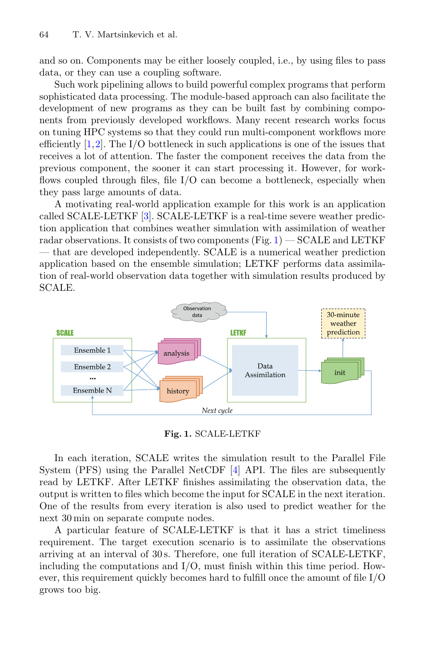and so on. Components may be either loosely coupled, i.e., by using files to pass data, or they can use a coupling software.

Such work pipelining allows to build powerful complex programs that perform sophisticated data processing. The module-based approach can also facilitate the development of new programs as they can be built fast by combining components from previously developed workflows. Many recent research works focus on tuning HPC systems so that they could run multi-component workflows more efficiently  $[1,2]$  $[1,2]$  $[1,2]$ . The I/O bottleneck in such applications is one of the issues that receives a lot of attention. The faster the component receives the data from the previous component, the sooner it can start processing it. However, for workflows coupled through files, file I/O can become a bottleneck, especially when they pass large amounts of data.

A motivating real-world application example for this work is an application called SCALE-LETKF [\[3\]](#page-16-2). SCALE-LETKF is a real-time severe weather prediction application that combines weather simulation with assimilation of weather radar observations. It consists of two components (Fig. [1\)](#page-1-0) — SCALE and LETKF — that are developed independently. SCALE is a numerical weather prediction application based on the ensemble simulation; LETKF performs data assimilation of real-world observation data together with simulation results produced by SCALE.



<span id="page-1-0"></span>**Fig. 1.** SCALE-LETKF

In each iteration, SCALE writes the simulation result to the Parallel File System (PFS) using the Parallel NetCDF [\[4\]](#page-16-3) API. The files are subsequently read by LETKF. After LETKF finishes assimilating the observation data, the output is written to files which become the input for SCALE in the next iteration. One of the results from every iteration is also used to predict weather for the next 30 min on separate compute nodes.

A particular feature of SCALE-LETKF is that it has a strict timeliness requirement. The target execution scenario is to assimilate the observations arriving at an interval of 30 s. Therefore, one full iteration of SCALE-LETKF, including the computations and I/O, must finish within this time period. However, this requirement quickly becomes hard to fulfill once the amount of file I/O grows too big.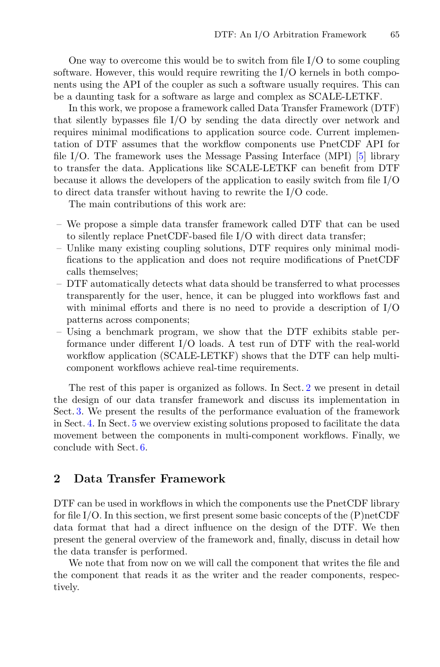One way to overcome this would be to switch from file  $I/O$  to some coupling software. However, this would require rewriting the I/O kernels in both components using the API of the coupler as such a software usually requires. This can be a daunting task for a software as large and complex as SCALE-LETKF.

In this work, we propose a framework called Data Transfer Framework (DTF) that silently bypasses file I/O by sending the data directly over network and requires minimal modifications to application source code. Current implementation of DTF assumes that the workflow components use PnetCDF API for file I/O. The framework uses the Message Passing Interface (MPI) [\[5](#page-16-4)] library to transfer the data. Applications like SCALE-LETKF can benefit from DTF because it allows the developers of the application to easily switch from file I/O to direct data transfer without having to rewrite the I/O code.

The main contributions of this work are:

- We propose a simple data transfer framework called DTF that can be used to silently replace PnetCDF-based file I/O with direct data transfer;
- Unlike many existing coupling solutions, DTF requires only minimal modifications to the application and does not require modifications of PnetCDF calls themselves;
- DTF automatically detects what data should be transferred to what processes transparently for the user, hence, it can be plugged into workflows fast and with minimal efforts and there is no need to provide a description of I/O patterns across components;
- Using a benchmark program, we show that the DTF exhibits stable performance under different I/O loads. A test run of DTF with the real-world workflow application (SCALE-LETKF) shows that the DTF can help multicomponent workflows achieve real-time requirements.

The rest of this paper is organized as follows. In Sect. [2](#page-2-0) we present in detail the design of our data transfer framework and discuss its implementation in Sect. [3.](#page-5-0) We present the results of the performance evaluation of the framework in Sect. [4.](#page-7-0) In Sect. [5](#page-14-0) we overview existing solutions proposed to facilitate the data movement between the components in multi-component workflows. Finally, we conclude with Sect. [6.](#page-15-0)

#### <span id="page-2-0"></span>**2 Data Transfer Framework**

DTF can be used in workflows in which the components use the PnetCDF library for file  $I/O$ . In this section, we first present some basic concepts of the  $(P)$ netCDF data format that had a direct influence on the design of the DTF. We then present the general overview of the framework and, finally, discuss in detail how the data transfer is performed.

We note that from now on we will call the component that writes the file and the component that reads it as the writer and the reader components, respectively.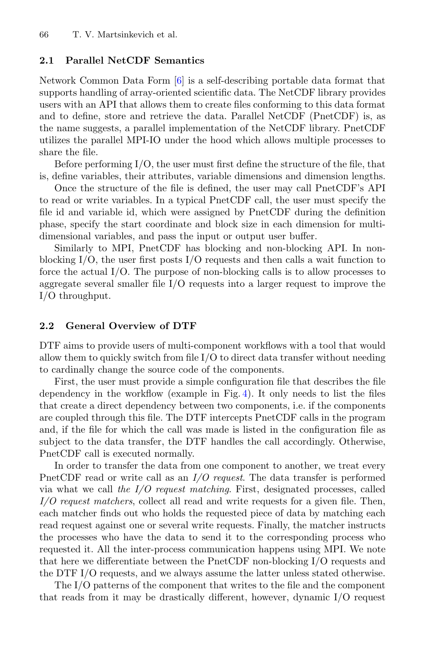#### **2.1 Parallel NetCDF Semantics**

Network Common Data Form [\[6\]](#page-16-5) is a self-describing portable data format that supports handling of array-oriented scientific data. The NetCDF library provides users with an API that allows them to create files conforming to this data format and to define, store and retrieve the data. Parallel NetCDF (PnetCDF) is, as the name suggests, a parallel implementation of the NetCDF library. PnetCDF utilizes the parallel MPI-IO under the hood which allows multiple processes to share the file.

Before performing  $I/O$ , the user must first define the structure of the file, that is, define variables, their attributes, variable dimensions and dimension lengths.

Once the structure of the file is defined, the user may call PnetCDF's API to read or write variables. In a typical PnetCDF call, the user must specify the file id and variable id, which were assigned by PnetCDF during the definition phase, specify the start coordinate and block size in each dimension for multidimensional variables, and pass the input or output user buffer.

Similarly to MPI, PnetCDF has blocking and non-blocking API. In nonblocking  $I/O$ , the user first posts  $I/O$  requests and then calls a wait function to force the actual I/O. The purpose of non-blocking calls is to allow processes to aggregate several smaller file I/O requests into a larger request to improve the I/O throughput.

#### **2.2 General Overview of DTF**

DTF aims to provide users of multi-component workflows with a tool that would allow them to quickly switch from file I/O to direct data transfer without needing to cardinally change the source code of the components.

First, the user must provide a simple configuration file that describes the file dependency in the workflow (example in Fig. [4\)](#page-6-0). It only needs to list the files that create a direct dependency between two components, i.e. if the components are coupled through this file. The DTF intercepts PnetCDF calls in the program and, if the file for which the call was made is listed in the configuration file as subject to the data transfer, the DTF handles the call accordingly. Otherwise, PnetCDF call is executed normally.

In order to transfer the data from one component to another, we treat every PnetCDF read or write call as an *I/O request*. The data transfer is performed via what we call *the I/O request matching*. First, designated processes, called *I/O request matchers*, collect all read and write requests for a given file. Then, each matcher finds out who holds the requested piece of data by matching each read request against one or several write requests. Finally, the matcher instructs the processes who have the data to send it to the corresponding process who requested it. All the inter-process communication happens using MPI. We note that here we differentiate between the PnetCDF non-blocking I/O requests and the DTF I/O requests, and we always assume the latter unless stated otherwise.

The I/O patterns of the component that writes to the file and the component that reads from it may be drastically different, however, dynamic I/O request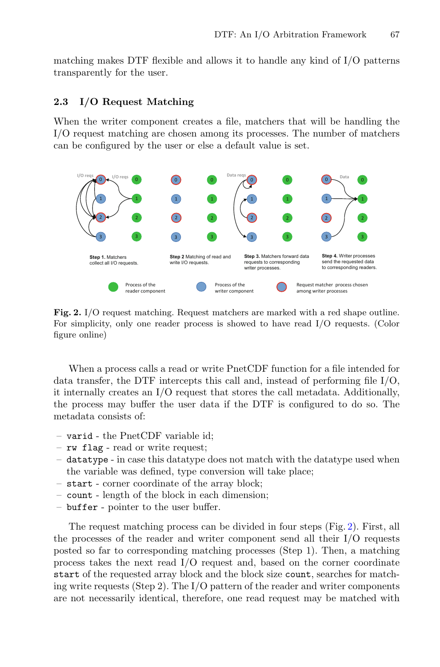matching makes DTF flexible and allows it to handle any kind of I/O patterns transparently for the user.

#### **2.3 I/O Request Matching**

When the writer component creates a file, matchers that will be handling the I/O request matching are chosen among its processes. The number of matchers can be configured by the user or else a default value is set.



<span id="page-4-0"></span>**Fig. 2.** I/O request matching. Request matchers are marked with a red shape outline. For simplicity, only one reader process is showed to have read I/O requests. (Color figure online)

When a process calls a read or write PnetCDF function for a file intended for data transfer, the DTF intercepts this call and, instead of performing file I/O, it internally creates an I/O request that stores the call metadata. Additionally, the process may buffer the user data if the DTF is configured to do so. The metadata consists of:

- varid the PnetCDF variable id;
- rw flag read or write request;
- datatype in case this datatype does not match with the datatype used when the variable was defined, type conversion will take place;
- start corner coordinate of the array block;
- count length of the block in each dimension;
- buffer pointer to the user buffer.

The request matching process can be divided in four steps (Fig. [2\)](#page-4-0). First, all the processes of the reader and writer component send all their I/O requests posted so far to corresponding matching processes (Step 1). Then, a matching process takes the next read I/O request and, based on the corner coordinate start of the requested array block and the block size count, searches for matching write requests (Step 2). The I/O pattern of the reader and writer components are not necessarily identical, therefore, one read request may be matched with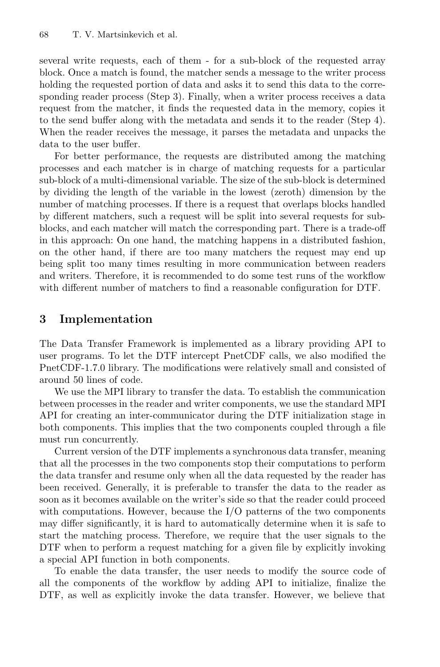several write requests, each of them - for a sub-block of the requested array block. Once a match is found, the matcher sends a message to the writer process holding the requested portion of data and asks it to send this data to the corresponding reader process (Step 3). Finally, when a writer process receives a data request from the matcher, it finds the requested data in the memory, copies it to the send buffer along with the metadata and sends it to the reader (Step 4). When the reader receives the message, it parses the metadata and unpacks the data to the user buffer.

For better performance, the requests are distributed among the matching processes and each matcher is in charge of matching requests for a particular sub-block of a multi-dimensional variable. The size of the sub-block is determined by dividing the length of the variable in the lowest (zeroth) dimension by the number of matching processes. If there is a request that overlaps blocks handled by different matchers, such a request will be split into several requests for subblocks, and each matcher will match the corresponding part. There is a trade-off in this approach: On one hand, the matching happens in a distributed fashion, on the other hand, if there are too many matchers the request may end up being split too many times resulting in more communication between readers and writers. Therefore, it is recommended to do some test runs of the workflow with different number of matchers to find a reasonable configuration for DTF.

# <span id="page-5-0"></span>**3 Implementation**

The Data Transfer Framework is implemented as a library providing API to user programs. To let the DTF intercept PnetCDF calls, we also modified the PnetCDF-1.7.0 library. The modifications were relatively small and consisted of around 50 lines of code.

We use the MPI library to transfer the data. To establish the communication between processes in the reader and writer components, we use the standard MPI API for creating an inter-communicator during the DTF initialization stage in both components. This implies that the two components coupled through a file must run concurrently.

Current version of the DTF implements a synchronous data transfer, meaning that all the processes in the two components stop their computations to perform the data transfer and resume only when all the data requested by the reader has been received. Generally, it is preferable to transfer the data to the reader as soon as it becomes available on the writer's side so that the reader could proceed with computations. However, because the  $I/O$  patterns of the two components may differ significantly, it is hard to automatically determine when it is safe to start the matching process. Therefore, we require that the user signals to the DTF when to perform a request matching for a given file by explicitly invoking a special API function in both components.

To enable the data transfer, the user needs to modify the source code of all the components of the workflow by adding API to initialize, finalize the DTF, as well as explicitly invoke the data transfer. However, we believe that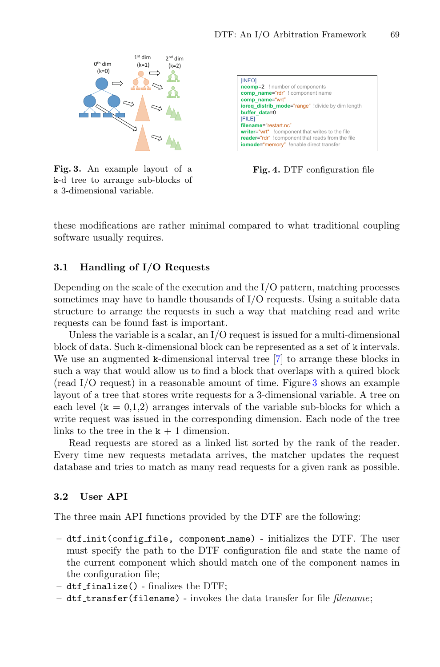

<span id="page-6-1"></span>**Fig. 3.** An example layout of a k-d tree to arrange sub-blocks of a 3-dimensional variable.



<span id="page-6-0"></span>**Fig. 4.** DTF configuration file

these modifications are rather minimal compared to what traditional coupling software usually requires.

#### **3.1 Handling of I/O Requests**

Depending on the scale of the execution and the I/O pattern, matching processes sometimes may have to handle thousands of I/O requests. Using a suitable data structure to arrange the requests in such a way that matching read and write requests can be found fast is important.

Unless the variable is a scalar, an I/O request is issued for a multi-dimensional block of data. Such k-dimensional block can be represented as a set of k intervals. We use an augmented k-dimensional interval tree [\[7](#page-16-6)] to arrange these blocks in such a way that would allow us to find a block that overlaps with a quired block (read I/O request) in a reasonable amount of time. Figure [3](#page-6-1) shows an example layout of a tree that stores write requests for a 3-dimensional variable. A tree on each level  $(k = 0,1,2)$  arranges intervals of the variable sub-blocks for which a write request was issued in the corresponding dimension. Each node of the tree links to the tree in the  $k + 1$  dimension.

Read requests are stored as a linked list sorted by the rank of the reader. Every time new requests metadata arrives, the matcher updates the request database and tries to match as many read requests for a given rank as possible.

#### **3.2 User API**

The three main API functions provided by the DTF are the following:

- $-$  dtf init(config file, component name) initializes the DTF. The user must specify the path to the DTF configuration file and state the name of the current component which should match one of the component names in the configuration file;
- dtf finalize() finalizes the DTF;
- dtf transfer(filename) invokes the data transfer for file *filename*;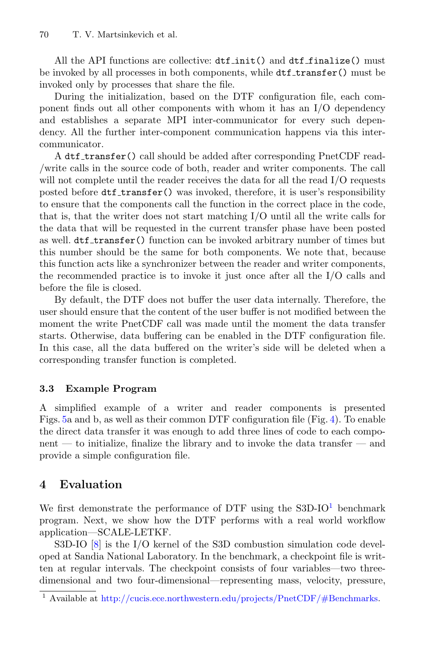All the API functions are collective: dtf init() and dtf finalize() must be invoked by all processes in both components, while  $diff\_transfer()$  must be invoked only by processes that share the file.

During the initialization, based on the DTF configuration file, each component finds out all other components with whom it has an I/O dependency and establishes a separate MPI inter-communicator for every such dependency. All the further inter-component communication happens via this intercommunicator.

A dtf transfer() call should be added after corresponding PnetCDF read- /write calls in the source code of both, reader and writer components. The call will not complete until the reader receives the data for all the read I/O requests posted before  $df_transform()$  was invoked, therefore, it is user's responsibility to ensure that the components call the function in the correct place in the code, that is, that the writer does not start matching I/O until all the write calls for the data that will be requested in the current transfer phase have been posted as well. dtf\_transfer() function can be invoked arbitrary number of times but this number should be the same for both components. We note that, because this function acts like a synchronizer between the reader and writer components, the recommended practice is to invoke it just once after all the I/O calls and before the file is closed.

By default, the DTF does not buffer the user data internally. Therefore, the user should ensure that the content of the user buffer is not modified between the moment the write PnetCDF call was made until the moment the data transfer starts. Otherwise, data buffering can be enabled in the DTF configuration file. In this case, all the data buffered on the writer's side will be deleted when a corresponding transfer function is completed.

# **3.3 Example Program**

A simplified example of a writer and reader components is presented Figs. [5a](#page-8-0) and b, as well as their common DTF configuration file (Fig. [4\)](#page-6-0). To enable the direct data transfer it was enough to add three lines of code to each component — to initialize, finalize the library and to invoke the data transfer — and provide a simple configuration file.

# <span id="page-7-0"></span>**4 Evaluation**

We first demonstrate the performance of DTF using the  $S3D-IO<sup>1</sup>$  $S3D-IO<sup>1</sup>$  $S3D-IO<sup>1</sup>$  benchmark program. Next, we show how the DTF performs with a real world workflow application—SCALE-LETKF.

S3D-IO [\[8\]](#page-16-7) is the I/O kernel of the S3D combustion simulation code developed at Sandia National Laboratory. In the benchmark, a checkpoint file is written at regular intervals. The checkpoint consists of four variables—two threedimensional and two four-dimensional—representing mass, velocity, pressure,

<span id="page-7-1"></span> $^{\rm 1}$  Available at [http://cucis.ece.northwestern.edu/projects/PnetCDF/#Benchmarks.](http://cucis.ece.northwestern.edu/projects/PnetCDF/#Benchmarks)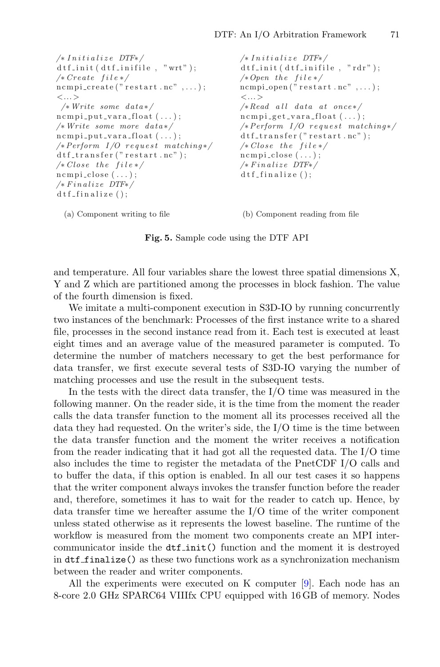```
/∗ I n i t i a l i z e DTF∗/
dtf_init ( dtf_inifile , "wrt" );
/∗ Create f ile ∗/
ncmpi_create ("restart.nc",...);
<...>
 /∗Write some data ∗/
ncmpi put vara float (...);
/∗Write some more data ∗/
ncmpi put vara float (\ldots);/∗Perform I /O r e q u e s t ma tch ing ∗/
dt f_transfer ("restart.nc");
/∗ Close the f ile ∗/
ncmpi_close (\ldots);/∗ F i n a l i z e DTF∗/
dtf-finalize();
```

```
/∗ I n i t i a l i z e DTF∗/
dtf_init ( dtf_inifile , "rdr" );
/* Open the file */ncmpi_open ("restart.nc",...);
<...>
/∗Read a l l data at once ∗/
ncmpi_get_vara_float (\ldots);/∗Perform I /O r e q u e s t ma tch ing ∗/
dt f_transfer ("restart.nc");
/* Close the file */
nempi.close (...);/∗ F i n a l i z e DTF∗/
dtf_finalize();
```
(a) Component writing to file

(b) Component reading from file

<span id="page-8-0"></span>**Fig. 5.** Sample code using the DTF API

and temperature. All four variables share the lowest three spatial dimensions X, Y and Z which are partitioned among the processes in block fashion. The value of the fourth dimension is fixed.

We imitate a multi-component execution in S3D-IO by running concurrently two instances of the benchmark: Processes of the first instance write to a shared file, processes in the second instance read from it. Each test is executed at least eight times and an average value of the measured parameter is computed. To determine the number of matchers necessary to get the best performance for data transfer, we first execute several tests of S3D-IO varying the number of matching processes and use the result in the subsequent tests.

In the tests with the direct data transfer, the I/O time was measured in the following manner. On the reader side, it is the time from the moment the reader calls the data transfer function to the moment all its processes received all the data they had requested. On the writer's side, the I/O time is the time between the data transfer function and the moment the writer receives a notification from the reader indicating that it had got all the requested data. The I/O time also includes the time to register the metadata of the PnetCDF I/O calls and to buffer the data, if this option is enabled. In all our test cases it so happens that the writer component always invokes the transfer function before the reader and, therefore, sometimes it has to wait for the reader to catch up. Hence, by data transfer time we hereafter assume the I/O time of the writer component unless stated otherwise as it represents the lowest baseline. The runtime of the workflow is measured from the moment two components create an MPI intercommunicator inside the dtf init() function and the moment it is destroyed in dtf finalize() as these two functions work as a synchronization mechanism between the reader and writer components.

All the experiments were executed on K computer [\[9\]](#page-17-0). Each node has an 8-core 2.0 GHz SPARC64 VIIIfx CPU equipped with 16 GB of memory. Nodes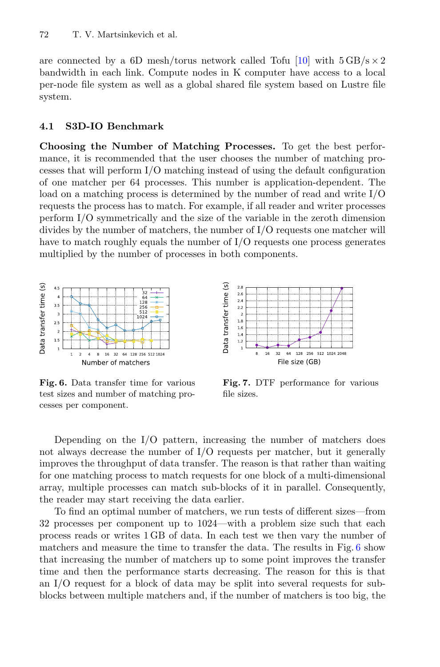are connected by a 6D mesh/torus network called Tofu [\[10](#page-17-1)] with  $5 GB/s \times 2$ bandwidth in each link. Compute nodes in K computer have access to a local per-node file system as well as a global shared file system based on Lustre file system.

#### **4.1 S3D-IO Benchmark**

**Choosing the Number of Matching Processes.** To get the best performance, it is recommended that the user chooses the number of matching processes that will perform I/O matching instead of using the default configuration of one matcher per 64 processes. This number is application-dependent. The load on a matching process is determined by the number of read and write I/O requests the process has to match. For example, if all reader and writer processes perform I/O symmetrically and the size of the variable in the zeroth dimension divides by the number of matchers, the number of I/O requests one matcher will have to match roughly equals the number of I/O requests one process generates multiplied by the number of processes in both components.



<span id="page-9-0"></span>**Fig. 6.** Data transfer time for various test sizes and number of matching processes per component.



<span id="page-9-1"></span>**Fig. 7.** DTF performance for various file sizes.

Depending on the I/O pattern, increasing the number of matchers does not always decrease the number of I/O requests per matcher, but it generally improves the throughput of data transfer. The reason is that rather than waiting for one matching process to match requests for one block of a multi-dimensional array, multiple processes can match sub-blocks of it in parallel. Consequently, the reader may start receiving the data earlier.

To find an optimal number of matchers, we run tests of different sizes—from 32 processes per component up to 1024—with a problem size such that each process reads or writes 1 GB of data. In each test we then vary the number of matchers and measure the time to transfer the data. The results in Fig. [6](#page-9-0) show that increasing the number of matchers up to some point improves the transfer time and then the performance starts decreasing. The reason for this is that an I/O request for a block of data may be split into several requests for subblocks between multiple matchers and, if the number of matchers is too big, the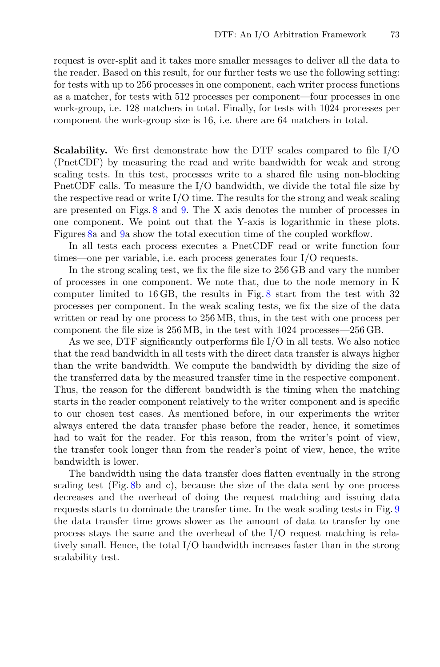request is over-split and it takes more smaller messages to deliver all the data to the reader. Based on this result, for our further tests we use the following setting: for tests with up to 256 processes in one component, each writer process functions as a matcher, for tests with 512 processes per component—four processes in one work-group, i.e. 128 matchers in total. Finally, for tests with 1024 processes per component the work-group size is 16, i.e. there are 64 matchers in total.

**Scalability.** We first demonstrate how the DTF scales compared to file I/O (PnetCDF) by measuring the read and write bandwidth for weak and strong scaling tests. In this test, processes write to a shared file using non-blocking PnetCDF calls. To measure the I/O bandwidth, we divide the total file size by the respective read or write  $I/O$  time. The results for the strong and weak scaling are presented on Figs. [8](#page-11-0) and [9.](#page-11-1) The X axis denotes the number of processes in one component. We point out that the Y-axis is logarithmic in these plots. Figures [8a](#page-11-0) and [9a](#page-11-1) show the total execution time of the coupled workflow.

In all tests each process executes a PnetCDF read or write function four times—one per variable, i.e. each process generates four I/O requests.

In the strong scaling test, we fix the file size to 256 GB and vary the number of processes in one component. We note that, due to the node memory in K computer limited to 16 GB, the results in Fig. [8](#page-11-0) start from the test with 32 processes per component. In the weak scaling tests, we fix the size of the data written or read by one process to 256 MB, thus, in the test with one process per component the file size is 256 MB, in the test with 1024 processes—256 GB.

As we see, DTF significantly outperforms file I/O in all tests. We also notice that the read bandwidth in all tests with the direct data transfer is always higher than the write bandwidth. We compute the bandwidth by dividing the size of the transferred data by the measured transfer time in the respective component. Thus, the reason for the different bandwidth is the timing when the matching starts in the reader component relatively to the writer component and is specific to our chosen test cases. As mentioned before, in our experiments the writer always entered the data transfer phase before the reader, hence, it sometimes had to wait for the reader. For this reason, from the writer's point of view, the transfer took longer than from the reader's point of view, hence, the write bandwidth is lower.

The bandwidth using the data transfer does flatten eventually in the strong scaling test (Fig. [8b](#page-11-0) and c), because the size of the data sent by one process decreases and the overhead of doing the request matching and issuing data requests starts to dominate the transfer time. In the weak scaling tests in Fig. [9](#page-11-1) the data transfer time grows slower as the amount of data to transfer by one process stays the same and the overhead of the I/O request matching is relatively small. Hence, the total I/O bandwidth increases faster than in the strong scalability test.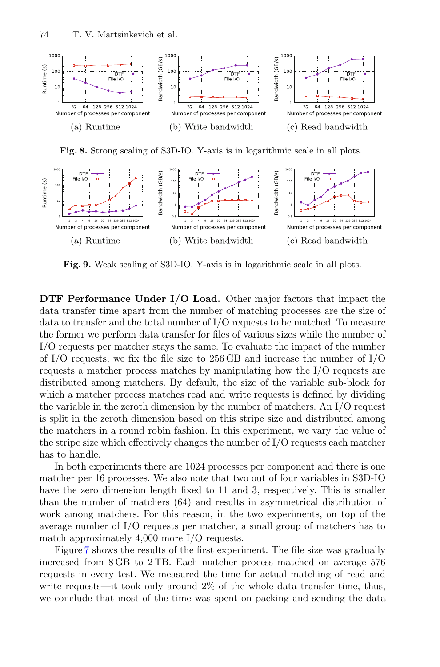

<span id="page-11-0"></span>**Fig. 8.** Strong scaling of S3D-IO. Y-axis is in logarithmic scale in all plots.



<span id="page-11-1"></span>**Fig. 9.** Weak scaling of S3D-IO. Y-axis is in logarithmic scale in all plots.

**DTF Performance Under I/O Load.** Other major factors that impact the data transfer time apart from the number of matching processes are the size of data to transfer and the total number of I/O requests to be matched. To measure the former we perform data transfer for files of various sizes while the number of I/O requests per matcher stays the same. To evaluate the impact of the number of I/O requests, we fix the file size to 256 GB and increase the number of I/O requests a matcher process matches by manipulating how the I/O requests are distributed among matchers. By default, the size of the variable sub-block for which a matcher process matches read and write requests is defined by dividing the variable in the zeroth dimension by the number of matchers. An I/O request is split in the zeroth dimension based on this stripe size and distributed among the matchers in a round robin fashion. In this experiment, we vary the value of the stripe size which effectively changes the number of I/O requests each matcher has to handle.

In both experiments there are 1024 processes per component and there is one matcher per 16 processes. We also note that two out of four variables in S3D-IO have the zero dimension length fixed to 11 and 3, respectively. This is smaller than the number of matchers (64) and results in asymmetrical distribution of work among matchers. For this reason, in the two experiments, on top of the average number of I/O requests per matcher, a small group of matchers has to match approximately 4,000 more I/O requests.

Figure [7](#page-9-1) shows the results of the first experiment. The file size was gradually increased from 8 GB to 2 TB. Each matcher process matched on average 576 requests in every test. We measured the time for actual matching of read and write requests—it took only around  $2\%$  of the whole data transfer time, thus, we conclude that most of the time was spent on packing and sending the data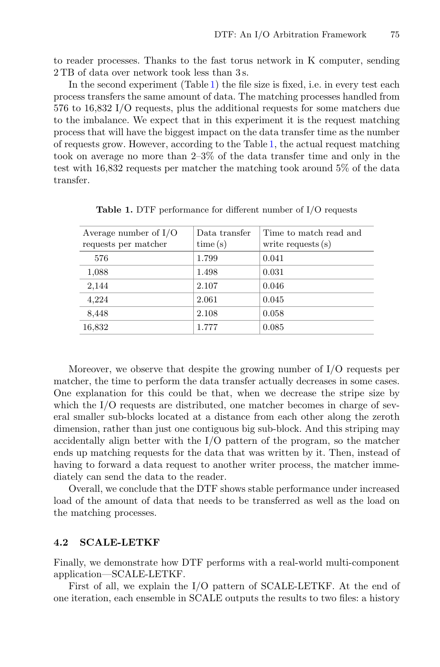to reader processes. Thanks to the fast torus network in K computer, sending 2 TB of data over network took less than 3 s.

In the second experiment (Table [1\)](#page-12-0) the file size is fixed, i.e. in every test each process transfers the same amount of data. The matching processes handled from 576 to 16,832 I/O requests, plus the additional requests for some matchers due to the imbalance. We expect that in this experiment it is the request matching process that will have the biggest impact on the data transfer time as the number of requests grow. However, according to the Table [1,](#page-12-0) the actual request matching took on average no more than 2–3% of the data transfer time and only in the test with 16,832 requests per matcher the matching took around 5% of the data transfer.

| Average number of $I/O$<br>requests per matcher | Data transfer<br>time(s) | Time to match read and<br>write requests $(s)$ |
|-------------------------------------------------|--------------------------|------------------------------------------------|
| 576                                             | 1.799                    | 0.041                                          |
| 1,088                                           | 1.498                    | 0.031                                          |
| 2,144                                           | 2.107                    | 0.046                                          |
| 4,224                                           | 2.061                    | 0.045                                          |
| 8,448                                           | 2.108                    | 0.058                                          |
| 16,832                                          | 1.777                    | 0.085                                          |

<span id="page-12-0"></span>**Table 1.** DTF performance for different number of I/O requests

Moreover, we observe that despite the growing number of I/O requests per matcher, the time to perform the data transfer actually decreases in some cases. One explanation for this could be that, when we decrease the stripe size by which the I/O requests are distributed, one matcher becomes in charge of several smaller sub-blocks located at a distance from each other along the zeroth dimension, rather than just one contiguous big sub-block. And this striping may accidentally align better with the I/O pattern of the program, so the matcher ends up matching requests for the data that was written by it. Then, instead of having to forward a data request to another writer process, the matcher immediately can send the data to the reader.

Overall, we conclude that the DTF shows stable performance under increased load of the amount of data that needs to be transferred as well as the load on the matching processes.

#### **4.2 SCALE-LETKF**

Finally, we demonstrate how DTF performs with a real-world multi-component application—SCALE-LETKF.

First of all, we explain the I/O pattern of SCALE-LETKF. At the end of one iteration, each ensemble in SCALE outputs the results to two files: a history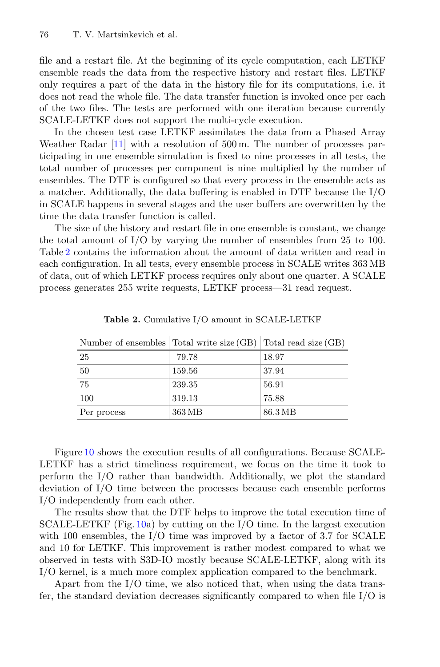file and a restart file. At the beginning of its cycle computation, each LETKF ensemble reads the data from the respective history and restart files. LETKF only requires a part of the data in the history file for its computations, i.e. it does not read the whole file. The data transfer function is invoked once per each of the two files. The tests are performed with one iteration because currently SCALE-LETKF does not support the multi-cycle execution.

In the chosen test case LETKF assimilates the data from a Phased Array Weather Radar [\[11\]](#page-17-2) with a resolution of 500 m. The number of processes participating in one ensemble simulation is fixed to nine processes in all tests, the total number of processes per component is nine multiplied by the number of ensembles. The DTF is configured so that every process in the ensemble acts as a matcher. Additionally, the data buffering is enabled in DTF because the I/O in SCALE happens in several stages and the user buffers are overwritten by the time the data transfer function is called.

The size of the history and restart file in one ensemble is constant, we change the total amount of I/O by varying the number of ensembles from 25 to 100. Table [2](#page-13-0) contains the information about the amount of data written and read in each configuration. In all tests, every ensemble process in SCALE writes 363 MB of data, out of which LETKF process requires only about one quarter. A SCALE process generates 255 write requests, LETKF process—31 read request.

| Number of ensembles Total write size $(GB)$ Total read size $(GB)$ |        |         |
|--------------------------------------------------------------------|--------|---------|
| 25                                                                 | 79.78  | 18.97   |
| 50                                                                 | 159.56 | 37.94   |
| 75                                                                 | 239.35 | 56.91   |
| 100                                                                | 319.13 | 75.88   |
| Per process                                                        | 363 MB | 86.3 MB |

<span id="page-13-0"></span>**Table 2.** Cumulative I/O amount in SCALE-LETKF

Figure [10](#page-14-1) shows the execution results of all configurations. Because SCALE-LETKF has a strict timeliness requirement, we focus on the time it took to perform the I/O rather than bandwidth. Additionally, we plot the standard deviation of I/O time between the processes because each ensemble performs I/O independently from each other.

The results show that the DTF helps to improve the total execution time of SCALE-LETKF (Fig. [10a](#page-14-1)) by cutting on the I/O time. In the largest execution with 100 ensembles, the I/O time was improved by a factor of 3.7 for SCALE and 10 for LETKF. This improvement is rather modest compared to what we observed in tests with S3D-IO mostly because SCALE-LETKF, along with its I/O kernel, is a much more complex application compared to the benchmark.

Apart from the I/O time, we also noticed that, when using the data transfer, the standard deviation decreases significantly compared to when file  $I/O$  is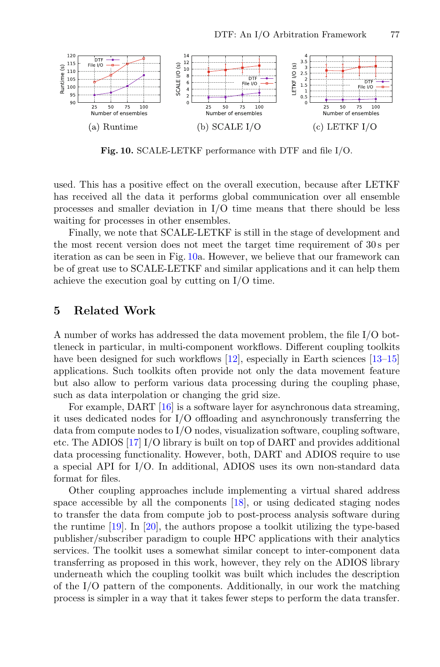

<span id="page-14-1"></span>**Fig. 10.** SCALE-LETKF performance with DTF and file I/O.

used. This has a positive effect on the overall execution, because after LETKF has received all the data it performs global communication over all ensemble processes and smaller deviation in I/O time means that there should be less waiting for processes in other ensembles.

Finally, we note that SCALE-LETKF is still in the stage of development and the most recent version does not meet the target time requirement of 30 s per iteration as can be seen in Fig. [10a](#page-14-1). However, we believe that our framework can be of great use to SCALE-LETKF and similar applications and it can help them achieve the execution goal by cutting on I/O time.

### <span id="page-14-0"></span>**5 Related Work**

A number of works has addressed the data movement problem, the file I/O bottleneck in particular, in multi-component workflows. Different coupling toolkits have been designed for such workflows  $[12]$  $[12]$ , especially in Earth sciences  $[13-15]$  $[13-15]$ applications. Such toolkits often provide not only the data movement feature but also allow to perform various data processing during the coupling phase, such as data interpolation or changing the grid size.

For example, DART [\[16](#page-17-6)] is a software layer for asynchronous data streaming, it uses dedicated nodes for I/O offloading and asynchronously transferring the data from compute nodes to I/O nodes, visualization software, coupling software, etc. The ADIOS [\[17\]](#page-17-7) I/O library is built on top of DART and provides additional data processing functionality. However, both, DART and ADIOS require to use a special API for I/O. In additional, ADIOS uses its own non-standard data format for files.

Other coupling approaches include implementing a virtual shared address space accessible by all the components [\[18](#page-17-8)], or using dedicated staging nodes to transfer the data from compute job to post-process analysis software during the runtime  $[19]$  $[19]$ . In  $[20]$ , the authors propose a toolkit utilizing the type-based publisher/subscriber paradigm to couple HPC applications with their analytics services. The toolkit uses a somewhat similar concept to inter-component data transferring as proposed in this work, however, they rely on the ADIOS library underneath which the coupling toolkit was built which includes the description of the I/O pattern of the components. Additionally, in our work the matching process is simpler in a way that it takes fewer steps to perform the data transfer.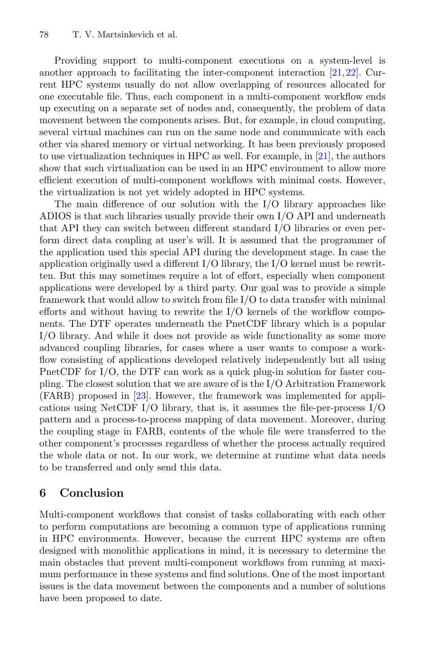Providing support to multi-component executions on a system-level is another approach to facilitating the inter-component interaction [\[21,](#page-17-11)[22\]](#page-17-12). Current HPC systems usually do not allow overlapping of resources allocated for one executable file. Thus, each component in a multi-component workflow ends up executing on a separate set of nodes and, consequently, the problem of data movement between the components arises. But, for example, in cloud computing, several virtual machines can run on the same node and communicate with each other via shared memory or virtual networking. It has been previously proposed to use virtualization techniques in HPC as well. For example, in [\[21\]](#page-17-11), the authors show that such virtualization can be used in an HPC environment to allow more efficient execution of multi-component workflows with minimal costs. However, the virtualization is not yet widely adopted in HPC systems.

The main difference of our solution with the I/O library approaches like ADIOS is that such libraries usually provide their own I/O API and underneath that API they can switch between different standard I/O libraries or even perform direct data coupling at user's will. It is assumed that the programmer of the application used this special API during the development stage. In case the application originally used a different I/O library, the I/O kernel must be rewritten. But this may sometimes require a lot of effort, especially when component applications were developed by a third party. Our goal was to provide a simple framework that would allow to switch from file I/O to data transfer with minimal efforts and without having to rewrite the  $I/O$  kernels of the workflow components. The DTF operates underneath the PnetCDF library which is a popular I/O library. And while it does not provide as wide functionality as some more advanced coupling libraries, for cases where a user wants to compose a workflow consisting of applications developed relatively independently but all using PnetCDF for I/O, the DTF can work as a quick plug-in solution for faster coupling. The closest solution that we are aware of is the I/O Arbitration Framework (FARB) proposed in [\[23\]](#page-17-13). However, the framework was implemented for applications using NetCDF I/O library, that is, it assumes the file-per-process I/O pattern and a process-to-process mapping of data movement. Moreover, during the coupling stage in FARB, contents of the whole file were transferred to the other component's processes regardless of whether the process actually required the whole data or not. In our work, we determine at runtime what data needs to be transferred and only send this data.

# <span id="page-15-0"></span>**6 Conclusion**

Multi-component workflows that consist of tasks collaborating with each other to perform computations are becoming a common type of applications running in HPC environments. However, because the current HPC systems are often designed with monolithic applications in mind, it is necessary to determine the main obstacles that prevent multi-component workflows from running at maximum performance in these systems and find solutions. One of the most important issues is the data movement between the components and a number of solutions have been proposed to date.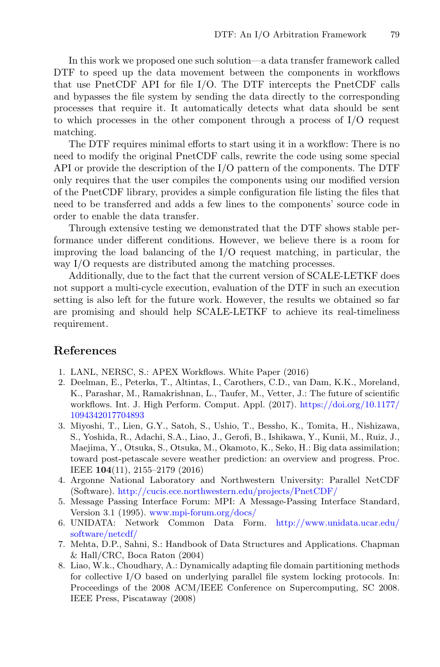In this work we proposed one such solution—a data transfer framework called DTF to speed up the data movement between the components in workflows that use PnetCDF API for file I/O. The DTF intercepts the PnetCDF calls and bypasses the file system by sending the data directly to the corresponding processes that require it. It automatically detects what data should be sent to which processes in the other component through a process of I/O request matching.

The DTF requires minimal efforts to start using it in a workflow: There is no need to modify the original PnetCDF calls, rewrite the code using some special API or provide the description of the I/O pattern of the components. The DTF only requires that the user compiles the components using our modified version of the PnetCDF library, provides a simple configuration file listing the files that need to be transferred and adds a few lines to the components' source code in order to enable the data transfer.

Through extensive testing we demonstrated that the DTF shows stable performance under different conditions. However, we believe there is a room for improving the load balancing of the I/O request matching, in particular, the way I/O requests are distributed among the matching processes.

Additionally, due to the fact that the current version of SCALE-LETKF does not support a multi-cycle execution, evaluation of the DTF in such an execution setting is also left for the future work. However, the results we obtained so far are promising and should help SCALE-LETKF to achieve its real-timeliness requirement.

# **References**

- <span id="page-16-0"></span>1. LANL, NERSC, S.: APEX Workflows. White Paper (2016)
- <span id="page-16-1"></span>2. Deelman, E., Peterka, T., Altintas, I., Carothers, C.D., van Dam, K.K., Moreland, K., Parashar, M., Ramakrishnan, L., Taufer, M., Vetter, J.: The future of scientific workflows. Int. J. High Perform. Comput. Appl. (2017). [https://doi.org/10.1177/](https://doi.org/10.1177/1094342017704893) [1094342017704893](https://doi.org/10.1177/1094342017704893)
- <span id="page-16-2"></span>3. Miyoshi, T., Lien, G.Y., Satoh, S., Ushio, T., Bessho, K., Tomita, H., Nishizawa, S., Yoshida, R., Adachi, S.A., Liao, J., Gerofi, B., Ishikawa, Y., Kunii, M., Ruiz, J., Maejima, Y., Otsuka, S., Otsuka, M., Okamoto, K., Seko, H.: Big data assimilation; toward post-petascale severe weather prediction: an overview and progress. Proc. IEEE **104**(11), 2155–2179 (2016)
- <span id="page-16-3"></span>4. Argonne National Laboratory and Northwestern University: Parallel NetCDF (Software). <http://cucis.ece.northwestern.edu/projects/PnetCDF/>
- <span id="page-16-4"></span>5. Message Passing Interface Forum: MPI: A Message-Passing Interface Standard, Version 3.1 (1995). [www.mpi-forum.org/docs/](http://www.mpi-forum.org/docs/)
- <span id="page-16-5"></span>6. UNIDATA: Network Common Data Form. [http://www.unidata.ucar.edu/](http://www.unidata.ucar.edu/software/netcdf/) [software/netcdf/](http://www.unidata.ucar.edu/software/netcdf/)
- <span id="page-16-6"></span>7. Mehta, D.P., Sahni, S.: Handbook of Data Structures and Applications. Chapman & Hall/CRC, Boca Raton (2004)
- <span id="page-16-7"></span>8. Liao, W.k., Choudhary, A.: Dynamically adapting file domain partitioning methods for collective I/O based on underlying parallel file system locking protocols. In: Proceedings of the 2008 ACM/IEEE Conference on Supercomputing, SC 2008. IEEE Press, Piscataway (2008)